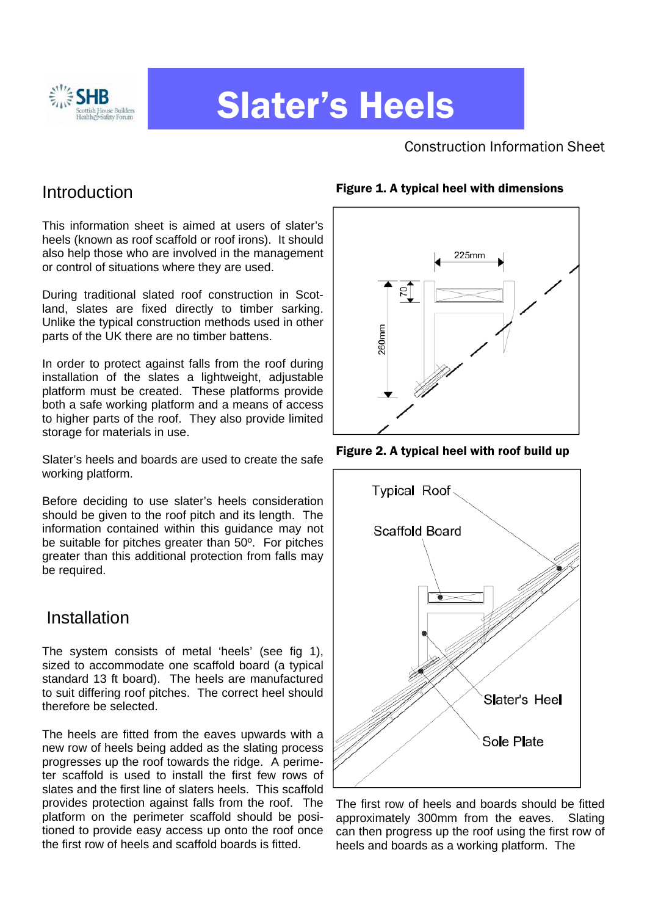

# Slater's Heels

Construction Information Sheet

### Introduction

This information sheet is aimed at users of slater's heels (known as roof scaffold or roof irons). It should also help those who are involved in the management or control of situations where they are used.

During traditional slated roof construction in Scotland, slates are fixed directly to timber sarking. Unlike the typical construction methods used in other parts of the UK there are no timber battens.

In order to protect against falls from the roof during installation of the slates a lightweight, adjustable platform must be created. These platforms provide both a safe working platform and a means of access to higher parts of the roof. They also provide limited storage for materials in use.

Slater's heels and boards are used to create the safe working platform.

Before deciding to use slater's heels consideration should be given to the roof pitch and its length. The information contained within this guidance may not be suitable for pitches greater than 50º. For pitches greater than this additional protection from falls may be required.

# Installation

The system consists of metal 'heels' (see fig 1), sized to accommodate one scaffold board (a typical standard 13 ft board). The heels are manufactured to suit differing roof pitches. The correct heel should therefore be selected.

The heels are fitted from the eaves upwards with a new row of heels being added as the slating process progresses up the roof towards the ridge. A perimeter scaffold is used to install the first few rows of slates and the first line of slaters heels. This scaffold provides protection against falls from the roof. The platform on the perimeter scaffold should be positioned to provide easy access up onto the roof once the first row of heels and scaffold boards is fitted.



Figure 2. A typical heel with roof build up



The first row of heels and boards should be fitted approximately 300mm from the eaves. Slating can then progress up the roof using the first row of heels and boards as a working platform. The

#### Figure 1. A typical heel with dimensions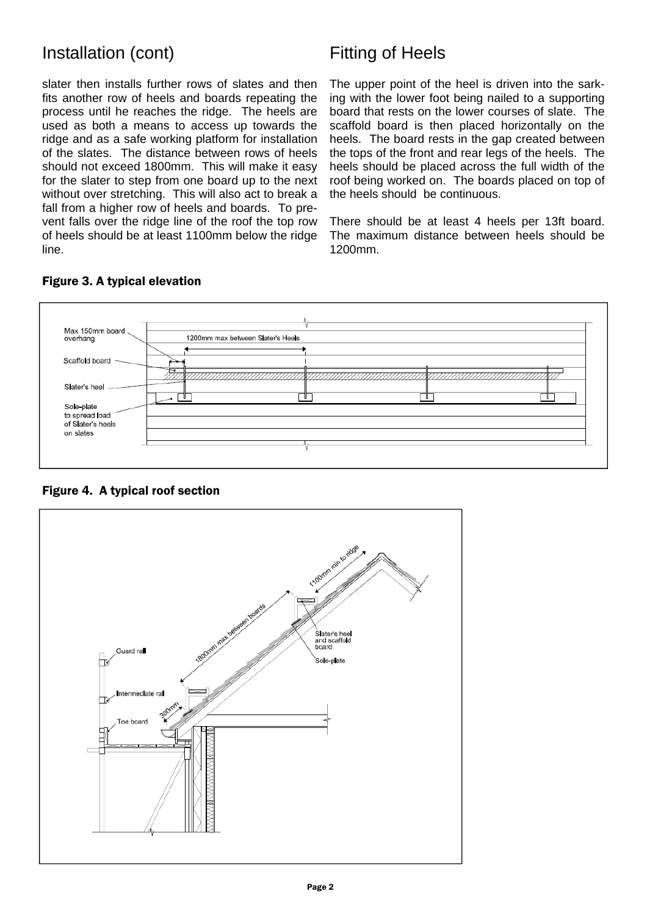### Installation (cont) Fitting of Heels

slater then installs further rows of slates and then fits another row of heels and boards repeating the process until he reaches the ridge. The heels are used as both a means to access up towards the ridge and as a safe working platform for installation of the slates. The distance between rows of heels should not exceed 1800mm. This will make it easy for the slater to step from one board up to the next without over stretching. This will also act to break a fall from a higher row of heels and boards. To prevent falls over the ridge line of the roof the top row of heels should be at least 1100mm below the ridge line.

The upper point of the heel is driven into the sarking with the lower foot being nailed to a supporting board that rests on the lower courses of slate. The scaffold board is then placed horizontally on the heels. The board rests in the gap created between the tops of the front and rear legs of the heels. The heels should be placed across the full width of the roof being worked on. The boards placed on top of the heels should be continuous.

There should be at least 4 heels per 13ft board. The maximum distance between heels should be 1200mm.



#### Figure 3. A typical elevation

Figure 4. A typical roof section

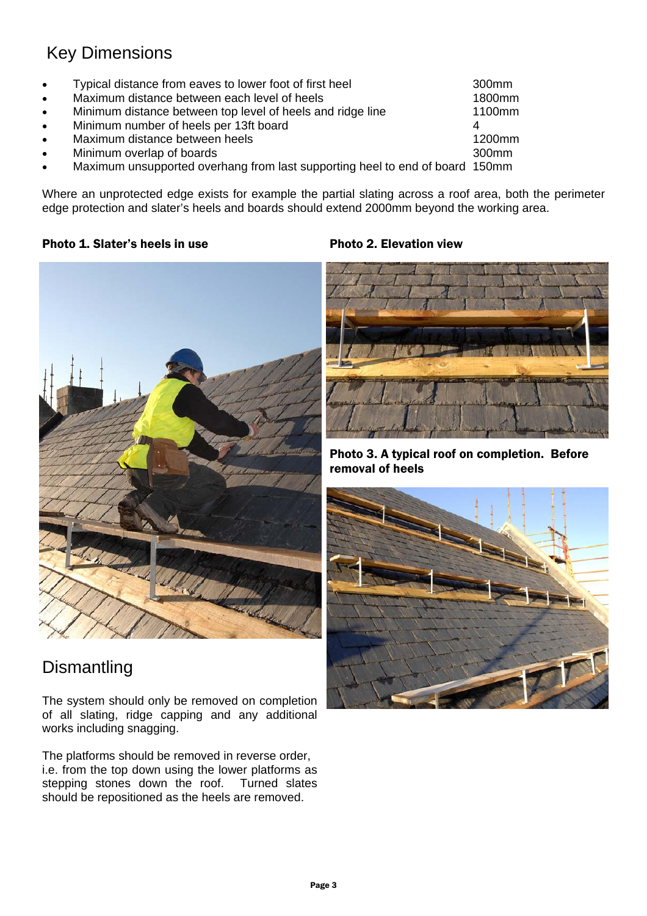# Key Dimensions

• Typical distance from eaves to lower foot of first heel 300mm • Maximum distance between each level of heels 1800mm Minimum distance between top level of heels and ridge line 1100mm • Minimum number of heels per 13ft board 4 4 • Maximum distance between heels 1200mm • Minimum overlap of boards 300mm • Maximum unsupported overhang from last supporting heel to end of board 150mm

Where an unprotected edge exists for example the partial slating across a roof area, both the perimeter edge protection and slater's heels and boards should extend 2000mm beyond the working area.

#### Photo 1. Slater's heels in use each open to the Photo 2. Elevation view



# **Dismantling**

The system should only be removed on completion of all slating, ridge capping and any additional works including snagging.

The platforms should be removed in reverse order, i.e. from the top down using the lower platforms as stepping stones down the roof. Turned slates should be repositioned as the heels are removed.



Photo 3. A typical roof on completion. Before removal of heels